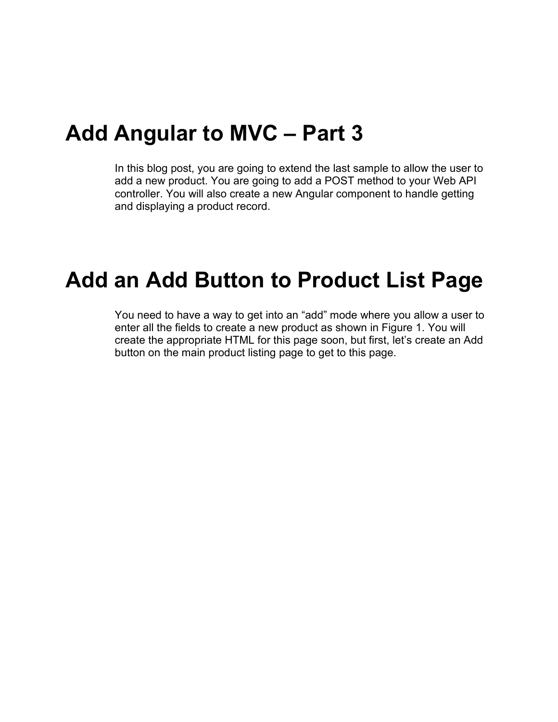### **Add Angular to MVC – Part 3**

In this blog post, you are going to extend the last sample to allow the user to add a new product. You are going to add a POST method to your Web API controller. You will also create a new Angular component to handle getting and displaying a product record.

### **Add an Add Button to Product List Page**

You need to have a way to get into an "add" mode where you allow a user to enter all the fields to create a new product as shown in [Figure 1.](#page-1-0) You will create the appropriate HTML for this page soon, but first, let's create an Add button on the main product listing page to get to this page.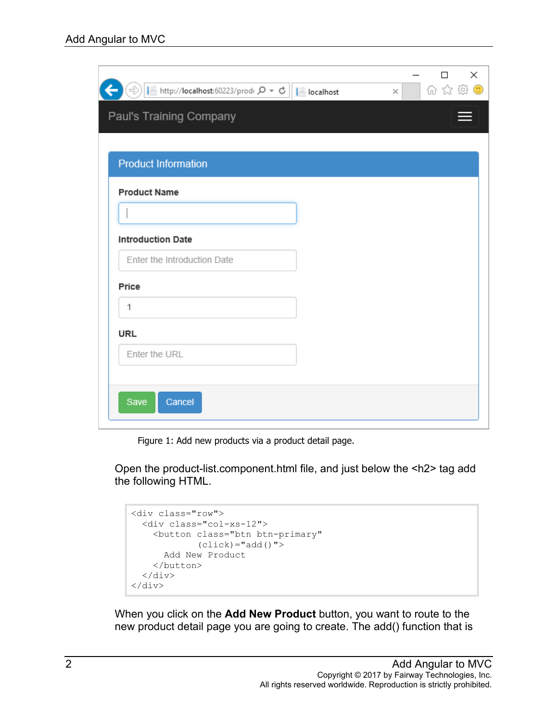| $\Rightarrow$       http://localhost:60223/prodi $\rho \cdot c$       localhost | 价 ☆ 様 ●<br>$\times$ |
|---------------------------------------------------------------------------------|---------------------|
| Paul's Training Company                                                         |                     |
|                                                                                 |                     |
| <b>Product Information</b>                                                      |                     |
|                                                                                 |                     |
| <b>Product Name</b>                                                             |                     |
|                                                                                 |                     |
| <b>Introduction Date</b>                                                        |                     |
| Enter the Introduction Date                                                     |                     |
| Price                                                                           |                     |
| 1                                                                               |                     |
| <b>URL</b>                                                                      |                     |
| Enter the URL                                                                   |                     |
|                                                                                 |                     |
|                                                                                 |                     |
|                                                                                 |                     |

Figure 1: Add new products via a product detail page.

<span id="page-1-0"></span>Open the product-list.component.html file, and just below the <h2> tag add the following HTML.

```
<div class="row">
   <div class="col-xs-12">
     <button class="btn btn-primary" 
             (click) = "add() "> Add New Product
     </button>
  \langle div>
\langlediv>
```
When you click on the **Add New Product** button, you want to route to the new product detail page you are going to create. The add() function that is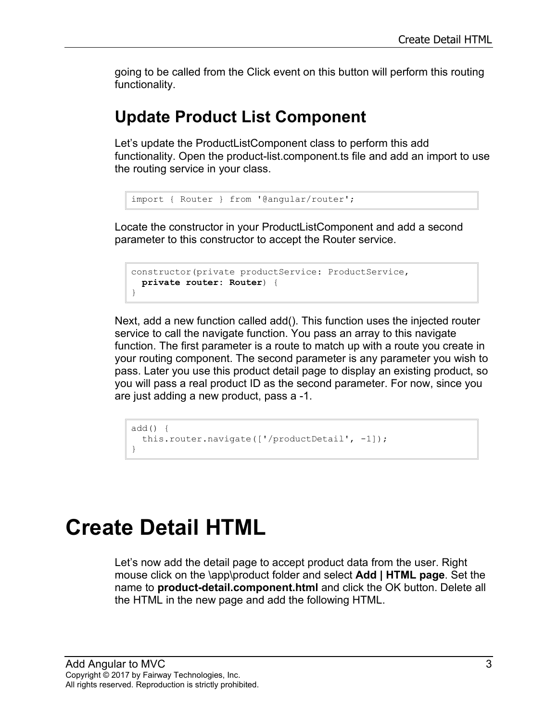going to be called from the Click event on this button will perform this routing functionality.

#### **Update Product List Component**

Let's update the ProductListComponent class to perform this add functionality. Open the product-list.component.ts file and add an import to use the routing service in your class.

```
import { Router } from '@angular/router';
```
Locate the constructor in your ProductListComponent and add a second parameter to this constructor to accept the Router service.

```
constructor(private productService: ProductService,
  private router: Router) {
}
```
Next, add a new function called add(). This function uses the injected router service to call the navigate function. You pass an array to this navigate function. The first parameter is a route to match up with a route you create in your routing component. The second parameter is any parameter you wish to pass. Later you use this product detail page to display an existing product, so you will pass a real product ID as the second parameter. For now, since you are just adding a new product, pass a -1.

```
add() {
   this.router.navigate(['/productDetail', -1]);
}
```
# **Create Detail HTML**

Let's now add the detail page to accept product data from the user. Right mouse click on the \app\product folder and select **Add | HTML page**. Set the name to **product-detail.component.html** and click the OK button. Delete all the HTML in the new page and add the following HTML.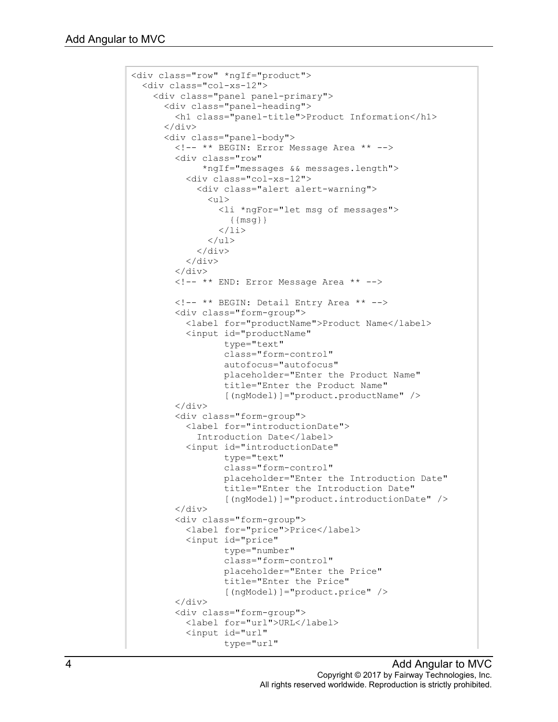```
<div class="row" *ngIf="product">
   <div class="col-xs-12">
     <div class="panel panel-primary">
       <div class="panel-heading">
         <h1 class="panel-title">Product Information</h1>
      \langle/div\rangle <div class="panel-body">
         <!-- ** BEGIN: Error Message Area ** -->
         <div class="row" 
               *ngIf="messages && messages.length">
            <div class="col-xs-12">
              <div class="alert alert-warning">
               \langle u1\rangle <li *ngFor="let msg of messages">
                     {{msg}}
                 \langle/li>
               \langle/ul\rangle\langle/div\rangle\langle/div\rangle\langle div>
         <!-- ** END: Error Message Area ** -->
         <!-- ** BEGIN: Detail Entry Area ** -->
         <div class="form-group">
            <label for="productName">Product Name</label>
            <input id="productName"
                   type="text"
                  class="form-control"
                  autofocus="autofocus"
                  placeholder="Enter the Product Name"
                   title="Enter the Product Name"
                  [(ngModel)]="product.productName" />
         </div>
         <div class="form-group">
            <label for="introductionDate">
              Introduction Date</label>
            <input id="introductionDate"
                   type="text"
                  class="form-control"
                  placeholder="Enter the Introduction Date"
                  title="Enter the Introduction Date"
                  [(ngModel)]="product.introductionDate" />
        \langle div>
         <div class="form-group">
            <label for="price">Price</label>
            <input id="price"
                   type="number"
                  class="form-control"
                  placeholder="Enter the Price"
                  title="Enter the Price"
                  [(ngModel)]="product.price" />
         </div>
         <div class="form-group">
            <label for="url">URL</label>
            <input id="url"
                   type="url"
```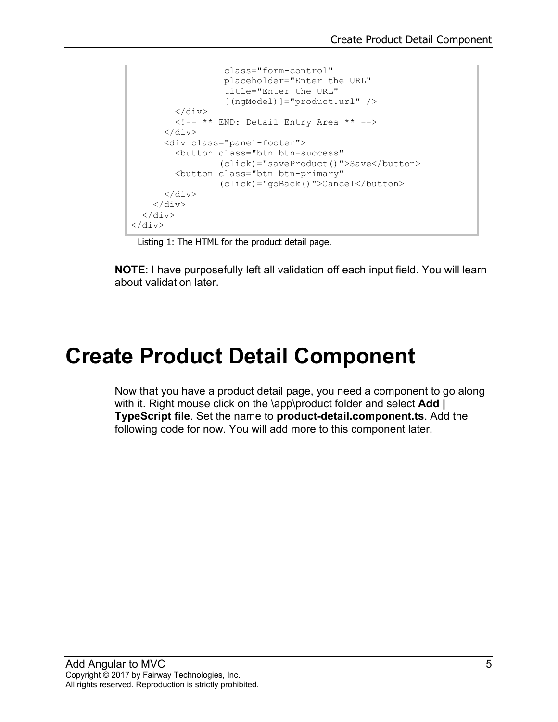```
 class="form-control"
                   placeholder="Enter the URL"
                  title="Enter the URL"
                  [(ngModel)]="product.url" />
         </div>
         <!-- ** END: Detail Entry Area ** -->
       </div>
       <div class="panel-footer">
         <button class="btn btn-success"
                (click)="saveProduct()">Save</button>
         <button class="btn btn-primary"
               (click)="goBack()">Cancel</button>
      \langle/div\rangle </div>
 \langle div>
</div>
```
Listing 1: The HTML for the product detail page.

**NOTE**: I have purposefully left all validation off each input field. You will learn about validation later.

### **Create Product Detail Component**

Now that you have a product detail page, you need a component to go along with it. Right mouse click on the \app\product folder and select **Add | TypeScript file**. Set the name to **product-detail.component.ts**. Add the following code for now. You will add more to this component later.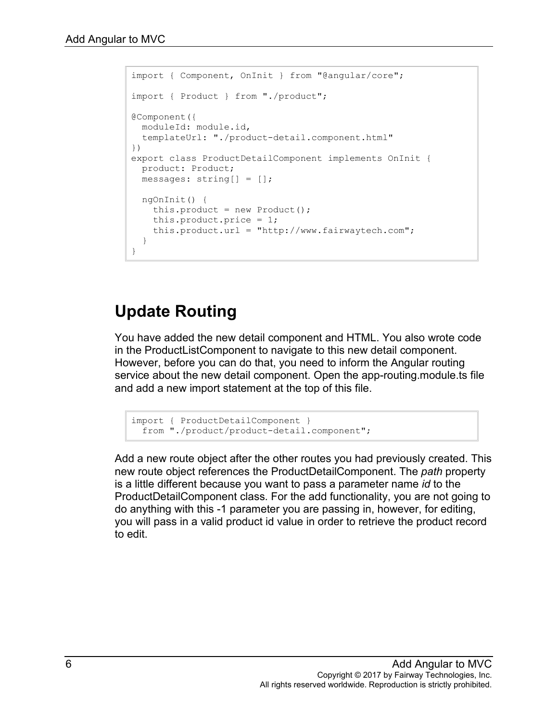```
import { Component, OnInit } from "@angular/core";
import { Product } from "./product";
@Component({
  moduleId: module.id,
  templateUrl: "./product-detail.component.html"
})
export class ProductDetailComponent implements OnInit {
  product: Product;
  messages: string[] = [];
  ngOnInit() {
   this.product = new Product();
     this.product.price = 1;
     this.product.url = "http://www.fairwaytech.com";
  }
}
```
#### **Update Routing**

You have added the new detail component and HTML. You also wrote code in the ProductListComponent to navigate to this new detail component. However, before you can do that, you need to inform the Angular routing service about the new detail component. Open the app-routing.module.ts file and add a new import statement at the top of this file.

```
import { ProductDetailComponent }
  from "./product/product-detail.component";
```
Add a new route object after the other routes you had previously created. This new route object references the ProductDetailComponent. The *path* property is a little different because you want to pass a parameter name *id* to the ProductDetailComponent class. For the add functionality, you are not going to do anything with this -1 parameter you are passing in, however, for editing, you will pass in a valid product id value in order to retrieve the product record to edit.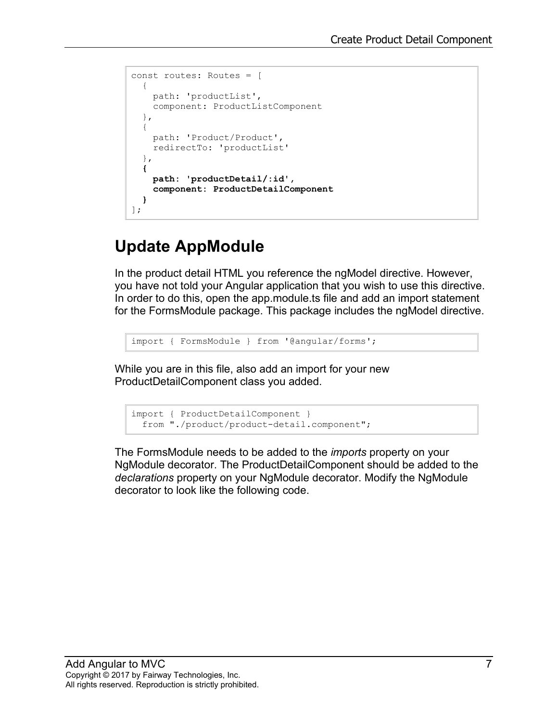```
const routes: Routes = [
 \{ path: 'productList',
    component: ProductListComponent
   },
   {
     path: 'Product/Product',
     redirectTo: 'productList'
   },
  {
     path: 'productDetail/:id',
     component: ProductDetailComponent
   }
];
```
### **Update AppModule**

In the product detail HTML you reference the ngModel directive. However, you have not told your Angular application that you wish to use this directive. In order to do this, open the app.module.ts file and add an import statement for the FormsModule package. This package includes the ngModel directive.

```
import { FormsModule } from '@angular/forms';
```
While you are in this file, also add an import for your new ProductDetailComponent class you added.

```
import { ProductDetailComponent }
 from "./product/product-detail.component";
```
The FormsModule needs to be added to the *imports* property on your NgModule decorator. The ProductDetailComponent should be added to the *declarations* property on your NgModule decorator. Modify the NgModule decorator to look like the following code.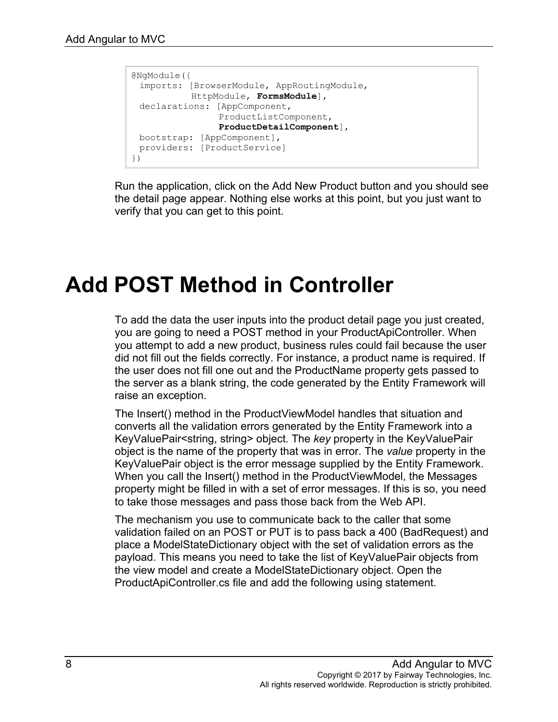```
@NgModule({
 imports: [BrowserModule, AppRoutingModule, 
           HttpModule, FormsModule],
 declarations: [AppComponent, 
                ProductListComponent, 
                ProductDetailComponent],
 bootstrap: [AppComponent],
 providers: [ProductService]
})
```
Run the application, click on the Add New Product button and you should see the detail page appear. Nothing else works at this point, but you just want to verify that you can get to this point.

## **Add POST Method in Controller**

To add the data the user inputs into the product detail page you just created, you are going to need a POST method in your ProductApiController. When you attempt to add a new product, business rules could fail because the user did not fill out the fields correctly. For instance, a product name is required. If the user does not fill one out and the ProductName property gets passed to the server as a blank string, the code generated by the Entity Framework will raise an exception.

The Insert() method in the ProductViewModel handles that situation and converts all the validation errors generated by the Entity Framework into a KeyValuePair<string, string> object. The *key* property in the KeyValuePair object is the name of the property that was in error. The *value* property in the KeyValuePair object is the error message supplied by the Entity Framework. When you call the Insert() method in the ProductViewModel, the Messages property might be filled in with a set of error messages. If this is so, you need to take those messages and pass those back from the Web API.

The mechanism you use to communicate back to the caller that some validation failed on an POST or PUT is to pass back a 400 (BadRequest) and place a ModelStateDictionary object with the set of validation errors as the payload. This means you need to take the list of KeyValuePair objects from the view model and create a ModelStateDictionary object. Open the ProductApiController.cs file and add the following using statement.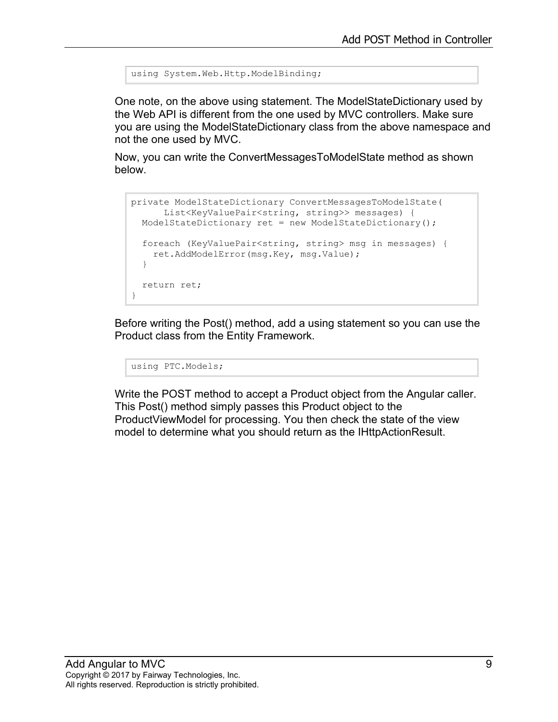```
using System.Web.Http.ModelBinding;
```
One note, on the above using statement. The ModelStateDictionary used by the Web API is different from the one used by MVC controllers. Make sure you are using the ModelStateDictionary class from the above namespace and not the one used by MVC.

Now, you can write the ConvertMessagesToModelState method as shown below.

```
private ModelStateDictionary ConvertMessagesToModelState(
       List<KeyValuePair<string, string>> messages) {
  ModelStateDictionary ret = new ModelStateDictionary();
   foreach (KeyValuePair<string, string> msg in messages) {
     ret.AddModelError(msg.Key, msg.Value);
   }
  return ret;
}
```
Before writing the Post() method, add a using statement so you can use the Product class from the Entity Framework.

using PTC.Models;

Write the POST method to accept a Product object from the Angular caller. This Post() method simply passes this Product object to the ProductViewModel for processing. You then check the state of the view model to determine what you should return as the IHttpActionResult.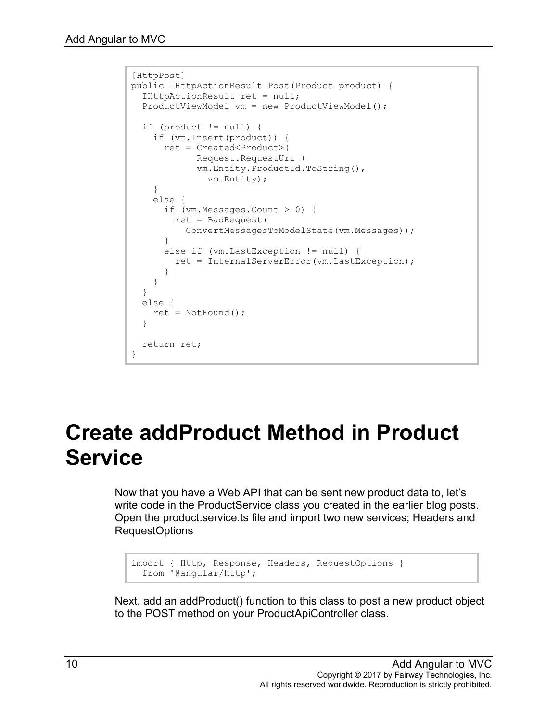```
[HttpPost]
public IHttpActionResult Post(Product product) {
   IHttpActionResult ret = null;
   ProductViewModel vm = new ProductViewModel();
  if (product != null) {
     if (vm.Insert(product)) {
       ret = Created<Product>(
             Request.RequestUri +
             vm.Entity.ProductId.ToString(),
               vm.Entity);
     }
     else {
       if (vm.Messages.Count > 0) {
        ret = BadRequest(
           ConvertMessagesToModelState(vm.Messages));
       }
       else if (vm.LastException != null) {
        ret = InternalServerError(vm.LastException);
       }
     }
   }
   else {
   ret = NotFound();
   }
   return ret;
}
```
### **Create addProduct Method in Product Service**

Now that you have a Web API that can be sent new product data to, let's write code in the ProductService class you created in the earlier blog posts. Open the product.service.ts file and import two new services; Headers and RequestOptions

```
import { Http, Response, Headers, RequestOptions } 
  from '@angular/http';
```
Next, add an addProduct() function to this class to post a new product object to the POST method on your ProductApiController class.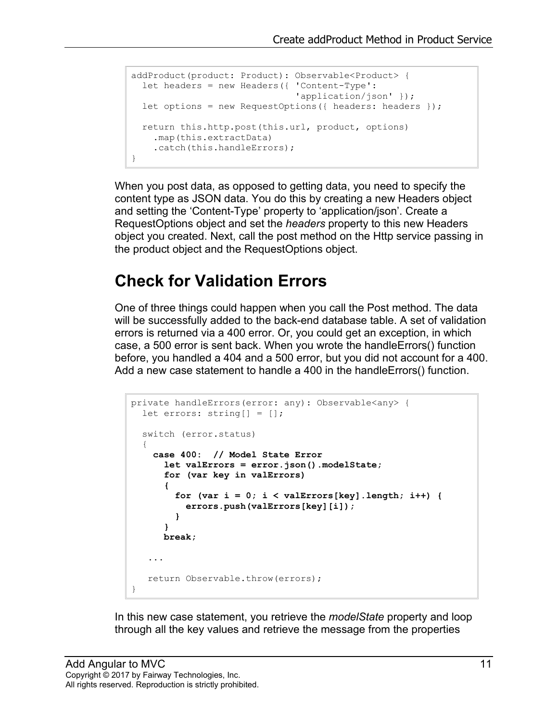```
addProduct(product: Product): Observable<Product> {
  let headers = new Headers({ 'Content-Type':
                                'application/json' });
  let options = new RequestOptions({ headers: headers });
  return this.http.post(this.url, product, options)
    .map(this.extractData)
    .catch(this.handleErrors);
}
```
When you post data, as opposed to getting data, you need to specify the content type as JSON data. You do this by creating a new Headers object and setting the 'Content-Type' property to 'application/json'. Create a RequestOptions object and set the *headers* property to this new Headers object you created. Next, call the post method on the Http service passing in the product object and the RequestOptions object.

#### **Check for Validation Errors**

One of three things could happen when you call the Post method. The data will be successfully added to the back-end database table. A set of validation errors is returned via a 400 error. Or, you could get an exception, in which case, a 500 error is sent back. When you wrote the handleErrors() function before, you handled a 404 and a 500 error, but you did not account for a 400. Add a new case statement to handle a 400 in the handleErrors() function.

```
private handleErrors(error: any): Observable<any> {
 let errors: string | = |;
  switch (error.status)
   {
    case 400: // Model State Error
       let valErrors = error.json().modelState;
      for (var key in valErrors)
 {
        for (var i = 0; i < valErrors[key].length; i++) {
          errors.push(valErrors[key][i]);
 }
       }
      break;
    ...
   return Observable.throw(errors);
}
```
In this new case statement, you retrieve the *modelState* property and loop through all the key values and retrieve the message from the properties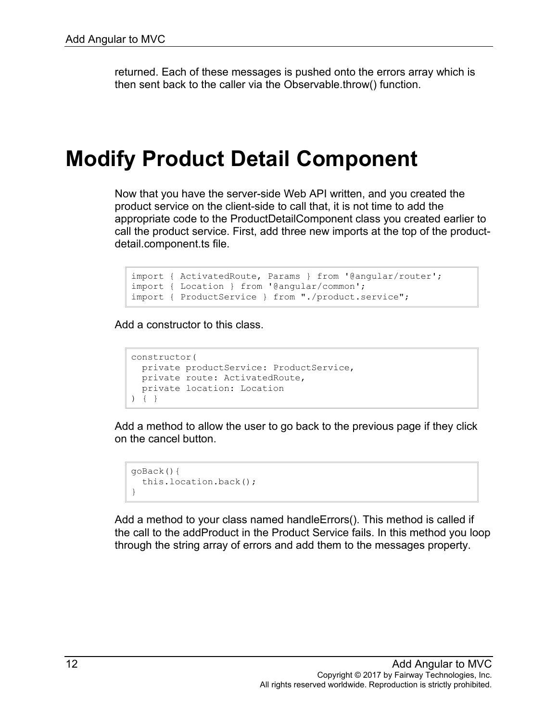returned. Each of these messages is pushed onto the errors array which is then sent back to the caller via the Observable.throw() function.

### **Modify Product Detail Component**

Now that you have the server-side Web API written, and you created the product service on the client-side to call that, it is not time to add the appropriate code to the ProductDetailComponent class you created earlier to call the product service. First, add three new imports at the top of the productdetail.component.ts file.

```
import { ActivatedRoute, Params } from '@angular/router';
import { Location } from '@angular/common';
import { ProductService } from "./product.service";
```
Add a constructor to this class.

```
constructor(
  private productService: ProductService,
  private route: ActivatedRoute,
  private location: Location
) { }
```
Add a method to allow the user to go back to the previous page if they click on the cancel button.

```
goBack(){
  this.location.back();
}
```
Add a method to your class named handleErrors(). This method is called if the call to the addProduct in the Product Service fails. In this method you loop through the string array of errors and add them to the messages property.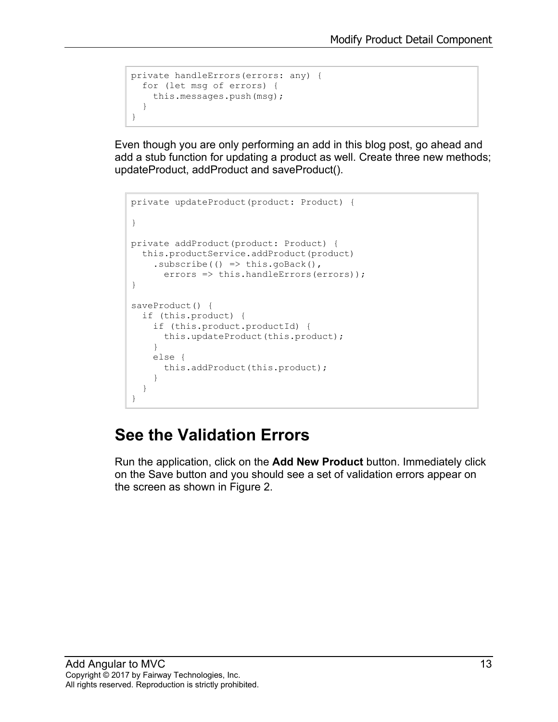```
private handleErrors(errors: any) {
  for (let msg of errors) {
    this.messages.push(msg);
   }
}
```
Even though you are only performing an add in this blog post, go ahead and add a stub function for updating a product as well. Create three new methods; updateProduct, addProduct and saveProduct().

```
private updateProduct(product: Product) {
}
private addProduct(product: Product) {
  this.productService.addProduct(product)
    subscripte() => this.goBack(),
      errors => this.handleErrors(errors));
}
saveProduct() {
   if (this.product) {
     if (this.product.productId) {
       this.updateProduct(this.product);
     }
     else {
       this.addProduct(this.product);
     }
   }
}
```
#### **See the Validation Errors**

Run the application, click on the **Add New Product** button. Immediately click on the Save button and you should see a set of validation errors appear on the screen as shown in [Figure 2.](#page-13-0)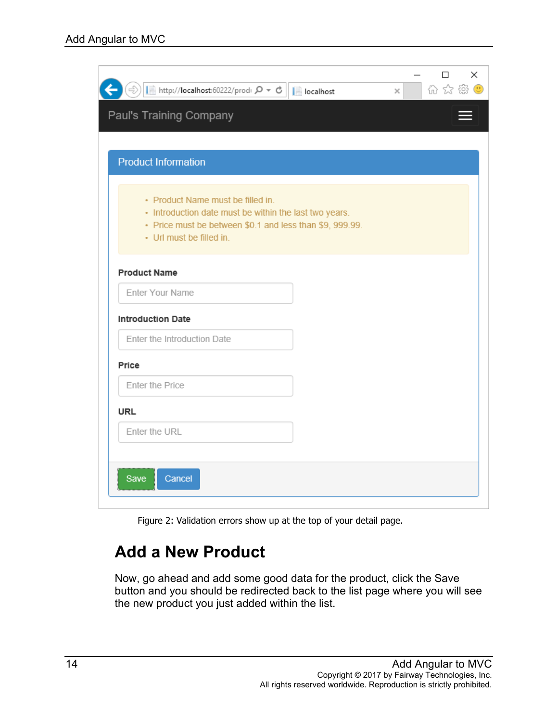| Paul's Training Company                                                                                                                                                             |  |
|-------------------------------------------------------------------------------------------------------------------------------------------------------------------------------------|--|
|                                                                                                                                                                                     |  |
| <b>Product Information</b>                                                                                                                                                          |  |
| • Product Name must be filled in.<br>• Introduction date must be within the last two years.<br>• Price must be between \$0.1 and less than \$9, 999.99.<br>• Url must be filled in. |  |
| <b>Product Name</b>                                                                                                                                                                 |  |
| Enter Your Name                                                                                                                                                                     |  |
| <b>Introduction Date</b>                                                                                                                                                            |  |
| Enter the Introduction Date                                                                                                                                                         |  |
| Price                                                                                                                                                                               |  |
| Enter the Price                                                                                                                                                                     |  |
| <b>URL</b>                                                                                                                                                                          |  |
| Enter the URL                                                                                                                                                                       |  |
|                                                                                                                                                                                     |  |

Figure 2: Validation errors show up at the top of your detail page.

#### <span id="page-13-0"></span>**Add a New Product**

Now, go ahead and add some good data for the product, click the Save button and you should be redirected back to the list page where you will see the new product you just added within the list.